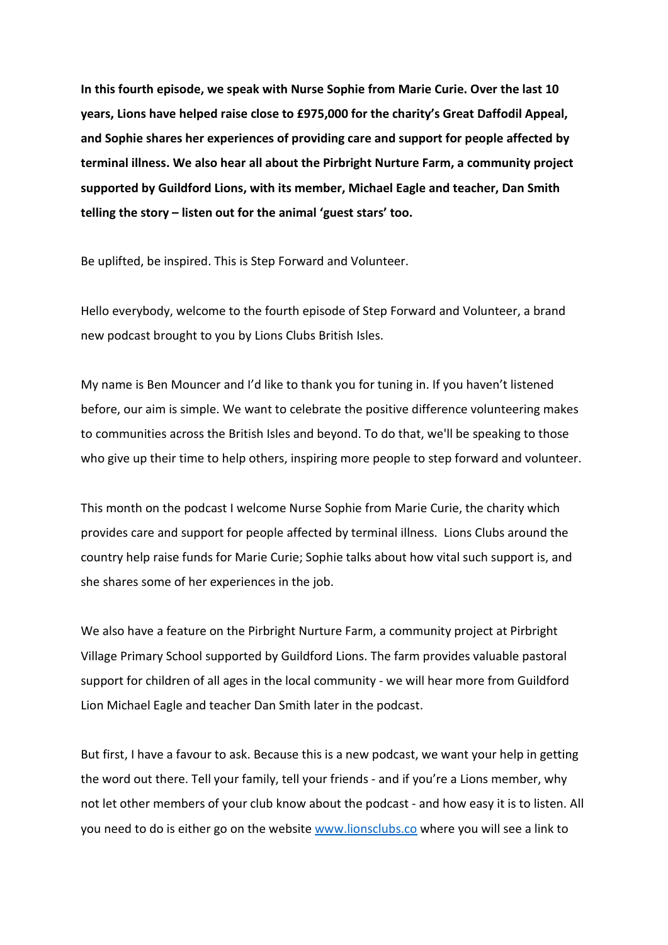**In this fourth episode, we speak with Nurse Sophie from Marie Curie. Over the last 10 years, Lions have helped raise close to £975,000 for the charity's Great Daffodil Appeal, and Sophie shares her experiences of providing care and support for people affected by terminal illness. We also hear all about the Pirbright Nurture Farm, a community project supported by Guildford Lions, with its member, Michael Eagle and teacher, Dan Smith telling the story – listen out for the animal 'guest stars' too.**

Be uplifted, be inspired. This is Step Forward and Volunteer.

Hello everybody, welcome to the fourth episode of Step Forward and Volunteer, a brand new podcast brought to you by Lions Clubs British Isles.

My name is Ben Mouncer and I'd like to thank you for tuning in. If you haven't listened before, our aim is simple. We want to celebrate the positive difference volunteering makes to communities across the British Isles and beyond. To do that, we'll be speaking to those who give up their time to help others, inspiring more people to step forward and volunteer.

This month on the podcast I welcome Nurse Sophie from Marie Curie, the charity which provides care and support for people affected by terminal illness. Lions Clubs around the country help raise funds for Marie Curie; Sophie talks about how vital such support is, and she shares some of her experiences in the job.

We also have a feature on the Pirbright Nurture Farm, a community project at Pirbright Village Primary School supported by Guildford Lions. The farm provides valuable pastoral support for children of all ages in the local community - we will hear more from Guildford Lion Michael Eagle and teacher Dan Smith later in the podcast.

But first, I have a favour to ask. Because this is a new podcast, we want your help in getting the word out there. Tell your family, tell your friends - and if you're a Lions member, why not let other members of your club know about the podcast - and how easy it is to listen. All you need to do is either go on the websit[e www.lionsclubs.co](http://www.lionsclubs.co/) where you will see a link to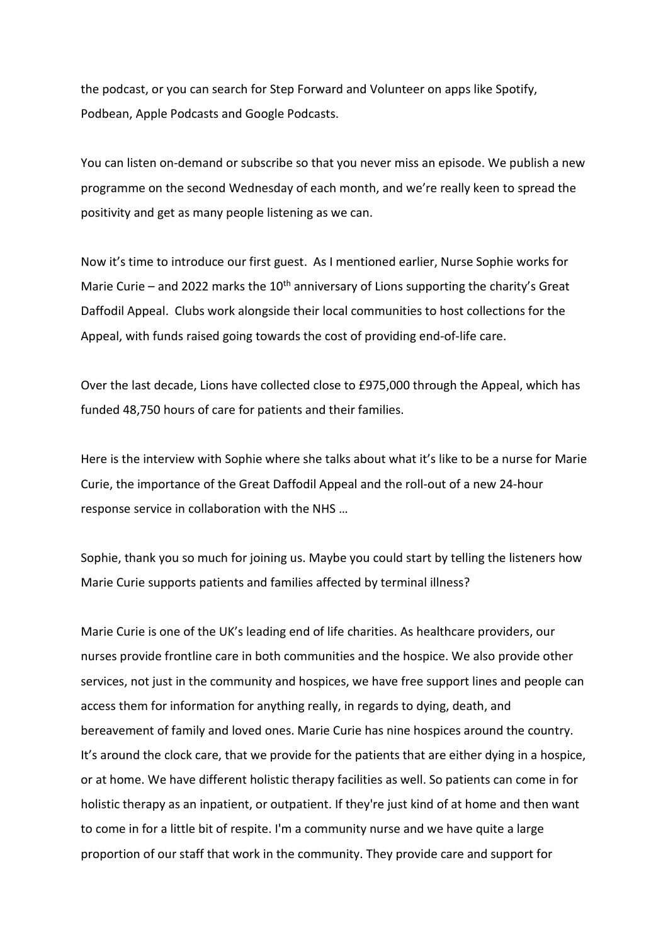the podcast, or you can search for Step Forward and Volunteer on apps like Spotify, Podbean, Apple Podcasts and Google Podcasts.

You can listen on-demand or subscribe so that you never miss an episode. We publish a new programme on the second Wednesday of each month, and we're really keen to spread the positivity and get as many people listening as we can.

Now it's time to introduce our first guest. As I mentioned earlier, Nurse Sophie works for Marie Curie – and 2022 marks the  $10<sup>th</sup>$  anniversary of Lions supporting the charity's Great Daffodil Appeal. Clubs work alongside their local communities to host collections for the Appeal, with funds raised going towards the cost of providing end-of-life care.

Over the last decade, Lions have collected close to £975,000 through the Appeal, which has funded 48,750 hours of care for patients and their families.

Here is the interview with Sophie where she talks about what it's like to be a nurse for Marie Curie, the importance of the Great Daffodil Appeal and the roll-out of a new 24-hour response service in collaboration with the NHS …

Sophie, thank you so much for joining us. Maybe you could start by telling the listeners how Marie Curie supports patients and families affected by terminal illness?

Marie Curie is one of the UK's leading end of life charities. As healthcare providers, our nurses provide frontline care in both communities and the hospice. We also provide other services, not just in the community and hospices, we have free support lines and people can access them for information for anything really, in regards to dying, death, and bereavement of family and loved ones. Marie Curie has nine hospices around the country. It's around the clock care, that we provide for the patients that are either dying in a hospice, or at home. We have different holistic therapy facilities as well. So patients can come in for holistic therapy as an inpatient, or outpatient. If they're just kind of at home and then want to come in for a little bit of respite. I'm a community nurse and we have quite a large proportion of our staff that work in the community. They provide care and support for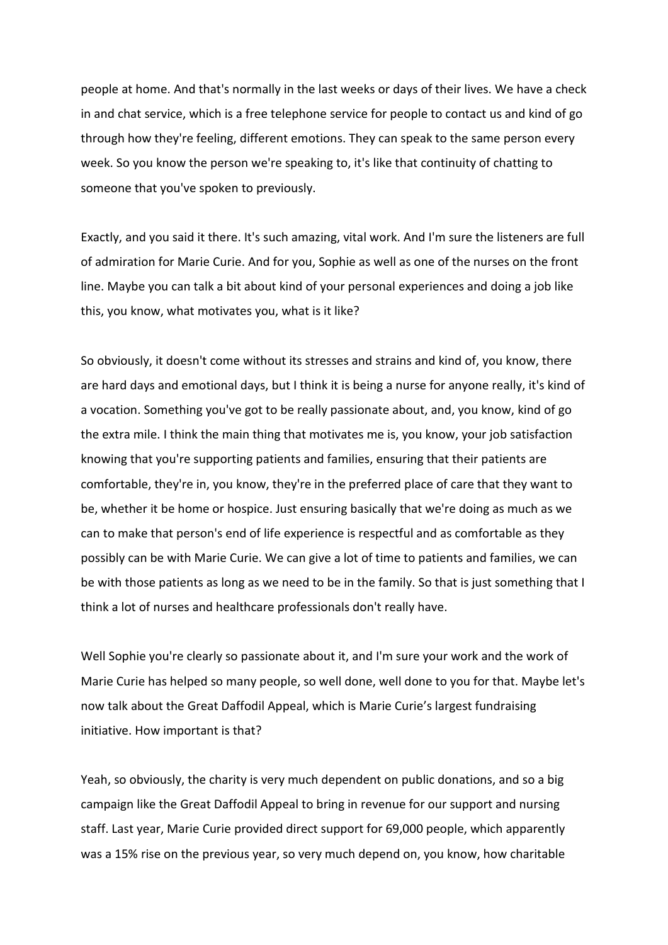people at home. And that's normally in the last weeks or days of their lives. We have a check in and chat service, which is a free telephone service for people to contact us and kind of go through how they're feeling, different emotions. They can speak to the same person every week. So you know the person we're speaking to, it's like that continuity of chatting to someone that you've spoken to previously.

Exactly, and you said it there. It's such amazing, vital work. And I'm sure the listeners are full of admiration for Marie Curie. And for you, Sophie as well as one of the nurses on the front line. Maybe you can talk a bit about kind of your personal experiences and doing a job like this, you know, what motivates you, what is it like?

So obviously, it doesn't come without its stresses and strains and kind of, you know, there are hard days and emotional days, but I think it is being a nurse for anyone really, it's kind of a vocation. Something you've got to be really passionate about, and, you know, kind of go the extra mile. I think the main thing that motivates me is, you know, your job satisfaction knowing that you're supporting patients and families, ensuring that their patients are comfortable, they're in, you know, they're in the preferred place of care that they want to be, whether it be home or hospice. Just ensuring basically that we're doing as much as we can to make that person's end of life experience is respectful and as comfortable as they possibly can be with Marie Curie. We can give a lot of time to patients and families, we can be with those patients as long as we need to be in the family. So that is just something that I think a lot of nurses and healthcare professionals don't really have.

Well Sophie you're clearly so passionate about it, and I'm sure your work and the work of Marie Curie has helped so many people, so well done, well done to you for that. Maybe let's now talk about the Great Daffodil Appeal, which is Marie Curie's largest fundraising initiative. How important is that?

Yeah, so obviously, the charity is very much dependent on public donations, and so a big campaign like the Great Daffodil Appeal to bring in revenue for our support and nursing staff. Last year, Marie Curie provided direct support for 69,000 people, which apparently was a 15% rise on the previous year, so very much depend on, you know, how charitable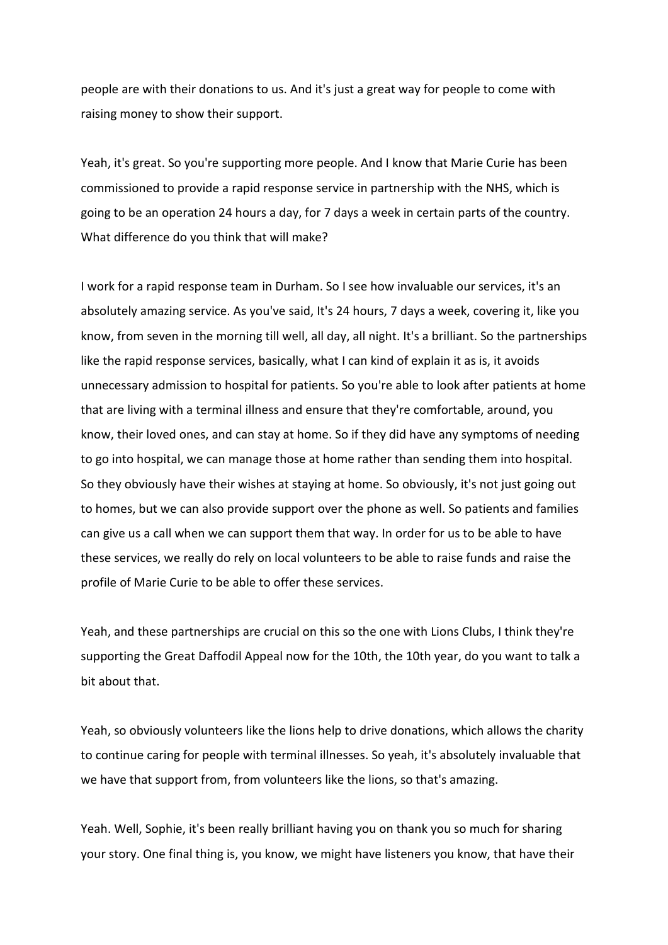people are with their donations to us. And it's just a great way for people to come with raising money to show their support.

Yeah, it's great. So you're supporting more people. And I know that Marie Curie has been commissioned to provide a rapid response service in partnership with the NHS, which is going to be an operation 24 hours a day, for 7 days a week in certain parts of the country. What difference do you think that will make?

I work for a rapid response team in Durham. So I see how invaluable our services, it's an absolutely amazing service. As you've said, It's 24 hours, 7 days a week, covering it, like you know, from seven in the morning till well, all day, all night. It's a brilliant. So the partnerships like the rapid response services, basically, what I can kind of explain it as is, it avoids unnecessary admission to hospital for patients. So you're able to look after patients at home that are living with a terminal illness and ensure that they're comfortable, around, you know, their loved ones, and can stay at home. So if they did have any symptoms of needing to go into hospital, we can manage those at home rather than sending them into hospital. So they obviously have their wishes at staying at home. So obviously, it's not just going out to homes, but we can also provide support over the phone as well. So patients and families can give us a call when we can support them that way. In order for us to be able to have these services, we really do rely on local volunteers to be able to raise funds and raise the profile of Marie Curie to be able to offer these services.

Yeah, and these partnerships are crucial on this so the one with Lions Clubs, I think they're supporting the Great Daffodil Appeal now for the 10th, the 10th year, do you want to talk a bit about that.

Yeah, so obviously volunteers like the lions help to drive donations, which allows the charity to continue caring for people with terminal illnesses. So yeah, it's absolutely invaluable that we have that support from, from volunteers like the lions, so that's amazing.

Yeah. Well, Sophie, it's been really brilliant having you on thank you so much for sharing your story. One final thing is, you know, we might have listeners you know, that have their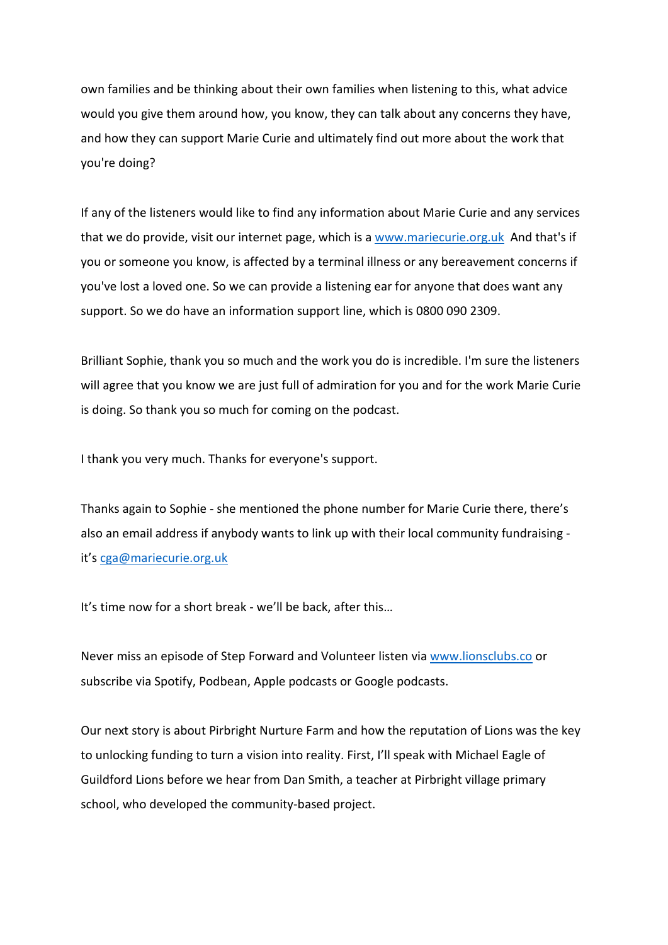own families and be thinking about their own families when listening to this, what advice would you give them around how, you know, they can talk about any concerns they have, and how they can support Marie Curie and ultimately find out more about the work that you're doing?

If any of the listeners would like to find any information about Marie Curie and any services that we do provide, visit our internet page, which is a [www.mariecurie.org.uk](http://www.mariecurie.org.uk/) And that's if you or someone you know, is affected by a terminal illness or any bereavement concerns if you've lost a loved one. So we can provide a listening ear for anyone that does want any support. So we do have an information support line, which is 0800 090 2309.

Brilliant Sophie, thank you so much and the work you do is incredible. I'm sure the listeners will agree that you know we are just full of admiration for you and for the work Marie Curie is doing. So thank you so much for coming on the podcast.

I thank you very much. Thanks for everyone's support.

Thanks again to Sophie - she mentioned the phone number for Marie Curie there, there's also an email address if anybody wants to link up with their local community fundraising it's [cga@mariecurie.org.uk](mailto:cga@mariecurie.org.uk)

It's time now for a short break - we'll be back, after this…

Never miss an episode of Step Forward and Volunteer listen via [www.lionsclubs.co](http://www.lionsclubs.co/) or subscribe via Spotify, Podbean, Apple podcasts or Google podcasts.

Our next story is about Pirbright Nurture Farm and how the reputation of Lions was the key to unlocking funding to turn a vision into reality. First, I'll speak with Michael Eagle of Guildford Lions before we hear from Dan Smith, a teacher at Pirbright village primary school, who developed the community-based project.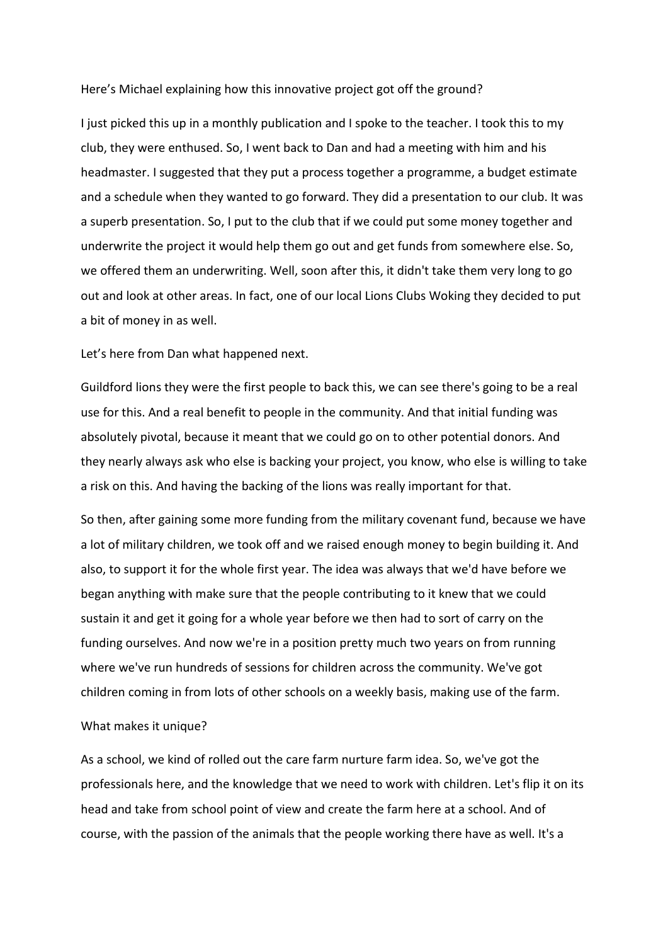## Here's Michael explaining how this innovative project got off the ground?

I just picked this up in a monthly publication and I spoke to the teacher. I took this to my club, they were enthused. So, I went back to Dan and had a meeting with him and his headmaster. I suggested that they put a process together a programme, a budget estimate and a schedule when they wanted to go forward. They did a presentation to our club. It was a superb presentation. So, I put to the club that if we could put some money together and underwrite the project it would help them go out and get funds from somewhere else. So, we offered them an underwriting. Well, soon after this, it didn't take them very long to go out and look at other areas. In fact, one of our local Lions Clubs Woking they decided to put a bit of money in as well.

Let's here from Dan what happened next.

Guildford lions they were the first people to back this, we can see there's going to be a real use for this. And a real benefit to people in the community. And that initial funding was absolutely pivotal, because it meant that we could go on to other potential donors. And they nearly always ask who else is backing your project, you know, who else is willing to take a risk on this. And having the backing of the lions was really important for that.

So then, after gaining some more funding from the military covenant fund, because we have a lot of military children, we took off and we raised enough money to begin building it. And also, to support it for the whole first year. The idea was always that we'd have before we began anything with make sure that the people contributing to it knew that we could sustain it and get it going for a whole year before we then had to sort of carry on the funding ourselves. And now we're in a position pretty much two years on from running where we've run hundreds of sessions for children across the community. We've got children coming in from lots of other schools on a weekly basis, making use of the farm.

## What makes it unique?

As a school, we kind of rolled out the care farm nurture farm idea. So, we've got the professionals here, and the knowledge that we need to work with children. Let's flip it on its head and take from school point of view and create the farm here at a school. And of course, with the passion of the animals that the people working there have as well. It's a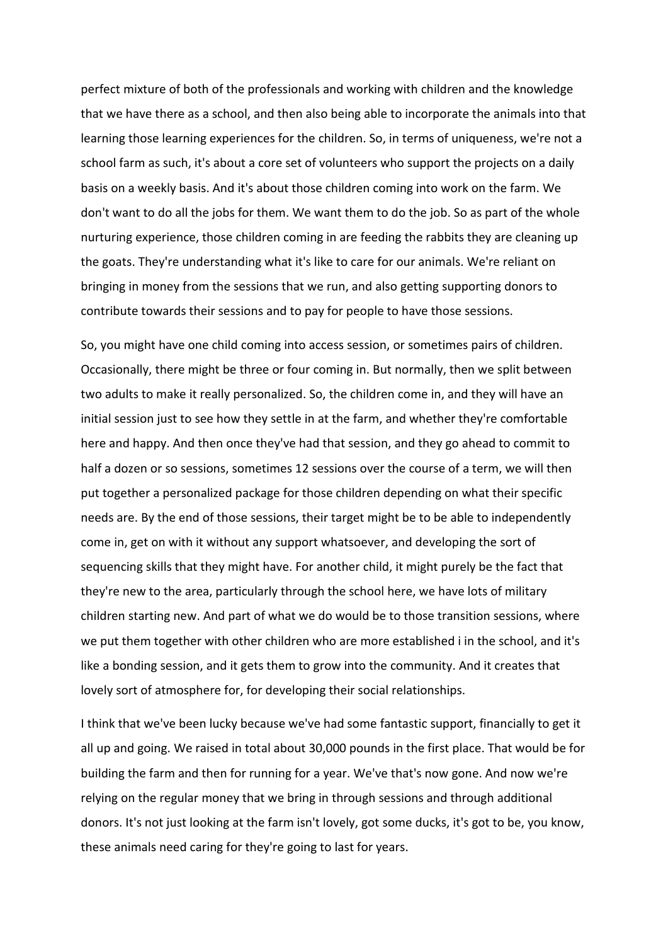perfect mixture of both of the professionals and working with children and the knowledge that we have there as a school, and then also being able to incorporate the animals into that learning those learning experiences for the children. So, in terms of uniqueness, we're not a school farm as such, it's about a core set of volunteers who support the projects on a daily basis on a weekly basis. And it's about those children coming into work on the farm. We don't want to do all the jobs for them. We want them to do the job. So as part of the whole nurturing experience, those children coming in are feeding the rabbits they are cleaning up the goats. They're understanding what it's like to care for our animals. We're reliant on bringing in money from the sessions that we run, and also getting supporting donors to contribute towards their sessions and to pay for people to have those sessions.

So, you might have one child coming into access session, or sometimes pairs of children. Occasionally, there might be three or four coming in. But normally, then we split between two adults to make it really personalized. So, the children come in, and they will have an initial session just to see how they settle in at the farm, and whether they're comfortable here and happy. And then once they've had that session, and they go ahead to commit to half a dozen or so sessions, sometimes 12 sessions over the course of a term, we will then put together a personalized package for those children depending on what their specific needs are. By the end of those sessions, their target might be to be able to independently come in, get on with it without any support whatsoever, and developing the sort of sequencing skills that they might have. For another child, it might purely be the fact that they're new to the area, particularly through the school here, we have lots of military children starting new. And part of what we do would be to those transition sessions, where we put them together with other children who are more established i in the school, and it's like a bonding session, and it gets them to grow into the community. And it creates that lovely sort of atmosphere for, for developing their social relationships.

I think that we've been lucky because we've had some fantastic support, financially to get it all up and going. We raised in total about 30,000 pounds in the first place. That would be for building the farm and then for running for a year. We've that's now gone. And now we're relying on the regular money that we bring in through sessions and through additional donors. It's not just looking at the farm isn't lovely, got some ducks, it's got to be, you know, these animals need caring for they're going to last for years.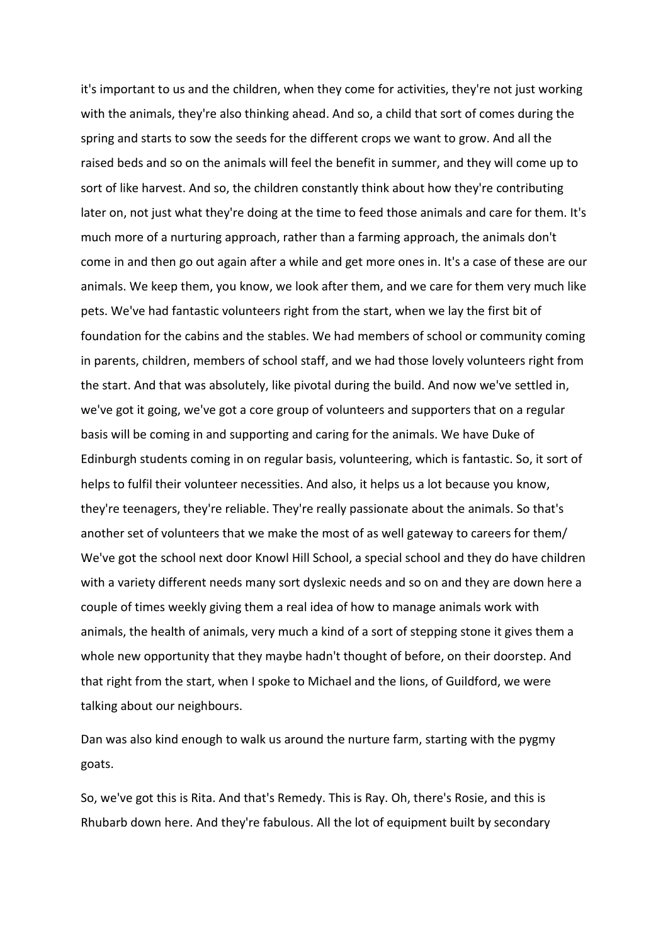it's important to us and the children, when they come for activities, they're not just working with the animals, they're also thinking ahead. And so, a child that sort of comes during the spring and starts to sow the seeds for the different crops we want to grow. And all the raised beds and so on the animals will feel the benefit in summer, and they will come up to sort of like harvest. And so, the children constantly think about how they're contributing later on, not just what they're doing at the time to feed those animals and care for them. It's much more of a nurturing approach, rather than a farming approach, the animals don't come in and then go out again after a while and get more ones in. It's a case of these are our animals. We keep them, you know, we look after them, and we care for them very much like pets. We've had fantastic volunteers right from the start, when we lay the first bit of foundation for the cabins and the stables. We had members of school or community coming in parents, children, members of school staff, and we had those lovely volunteers right from the start. And that was absolutely, like pivotal during the build. And now we've settled in, we've got it going, we've got a core group of volunteers and supporters that on a regular basis will be coming in and supporting and caring for the animals. We have Duke of Edinburgh students coming in on regular basis, volunteering, which is fantastic. So, it sort of helps to fulfil their volunteer necessities. And also, it helps us a lot because you know, they're teenagers, they're reliable. They're really passionate about the animals. So that's another set of volunteers that we make the most of as well gateway to careers for them/ We've got the school next door Knowl Hill School, a special school and they do have children with a variety different needs many sort dyslexic needs and so on and they are down here a couple of times weekly giving them a real idea of how to manage animals work with animals, the health of animals, very much a kind of a sort of stepping stone it gives them a whole new opportunity that they maybe hadn't thought of before, on their doorstep. And that right from the start, when I spoke to Michael and the lions, of Guildford, we were talking about our neighbours.

Dan was also kind enough to walk us around the nurture farm, starting with the pygmy goats.

So, we've got this is Rita. And that's Remedy. This is Ray. Oh, there's Rosie, and this is Rhubarb down here. And they're fabulous. All the lot of equipment built by secondary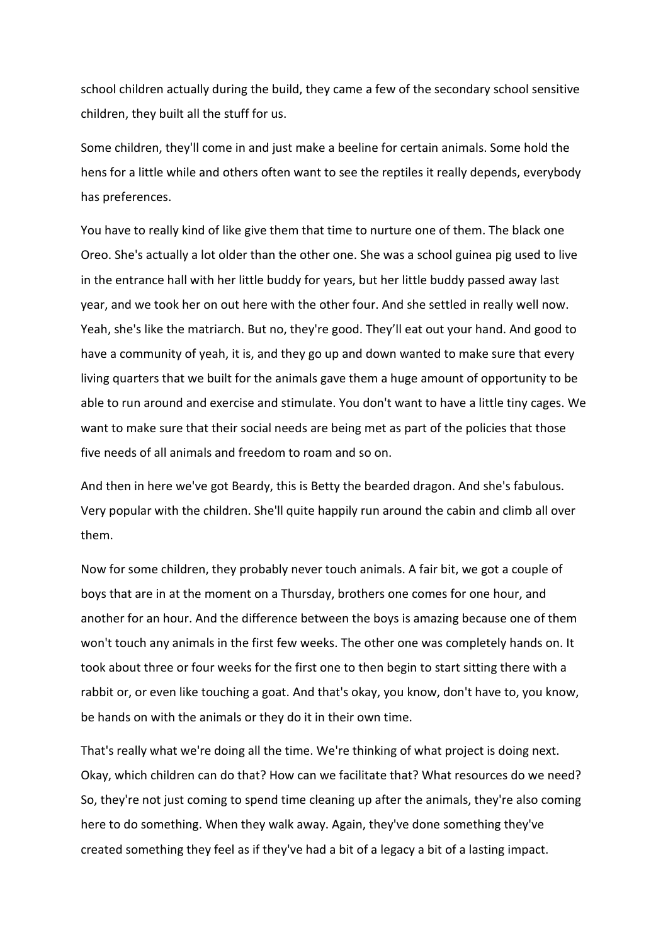school children actually during the build, they came a few of the secondary school sensitive children, they built all the stuff for us.

Some children, they'll come in and just make a beeline for certain animals. Some hold the hens for a little while and others often want to see the reptiles it really depends, everybody has preferences.

You have to really kind of like give them that time to nurture one of them. The black one Oreo. She's actually a lot older than the other one. She was a school guinea pig used to live in the entrance hall with her little buddy for years, but her little buddy passed away last year, and we took her on out here with the other four. And she settled in really well now. Yeah, she's like the matriarch. But no, they're good. They'll eat out your hand. And good to have a community of yeah, it is, and they go up and down wanted to make sure that every living quarters that we built for the animals gave them a huge amount of opportunity to be able to run around and exercise and stimulate. You don't want to have a little tiny cages. We want to make sure that their social needs are being met as part of the policies that those five needs of all animals and freedom to roam and so on.

And then in here we've got Beardy, this is Betty the bearded dragon. And she's fabulous. Very popular with the children. She'll quite happily run around the cabin and climb all over them.

Now for some children, they probably never touch animals. A fair bit, we got a couple of boys that are in at the moment on a Thursday, brothers one comes for one hour, and another for an hour. And the difference between the boys is amazing because one of them won't touch any animals in the first few weeks. The other one was completely hands on. It took about three or four weeks for the first one to then begin to start sitting there with a rabbit or, or even like touching a goat. And that's okay, you know, don't have to, you know, be hands on with the animals or they do it in their own time.

That's really what we're doing all the time. We're thinking of what project is doing next. Okay, which children can do that? How can we facilitate that? What resources do we need? So, they're not just coming to spend time cleaning up after the animals, they're also coming here to do something. When they walk away. Again, they've done something they've created something they feel as if they've had a bit of a legacy a bit of a lasting impact.